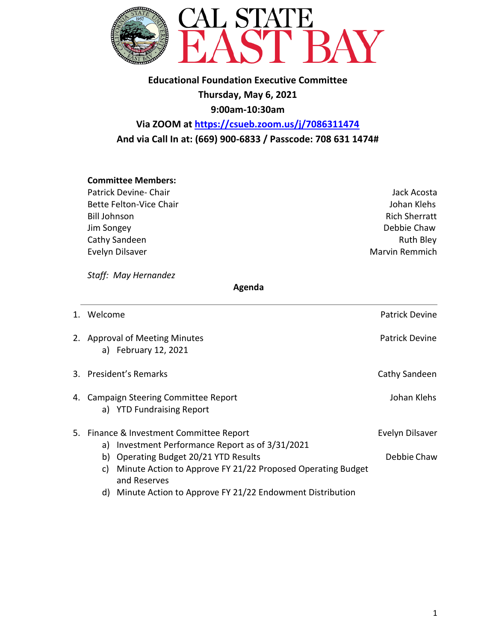

## **Educational Foundation Executive Committee Thursday, May 6, 2021 9:00am-10:30am Via ZOOM at https://csueb.zoom.us/j/7086311474**

**And via Call In at: (669) 900-6833 / Passcode: 708 631 1474#**

### **Committee Members:**

Patrick Devine- Chair **Jack Acosta** Jack Acosta Bette Felton-Vice Chair **Galacter Chair** According to the United States of the United States of the United States Bill Johnson Rich Sherratt Jim Songey Debbie Chaw Cathy Sandeen **Ruth Bley** Evelyn Dilsaver **Marvin Remmich** Company of The Marvin Remmich

*Staff: May Hernandez* 

#### **Agenda**

| 1. Welcome                                                                                                                                       | <b>Patrick Devine</b>          |
|--------------------------------------------------------------------------------------------------------------------------------------------------|--------------------------------|
| 2. Approval of Meeting Minutes<br>a) February 12, 2021                                                                                           | Patrick Devine                 |
| 3. President's Remarks                                                                                                                           | Cathy Sandeen                  |
| 4. Campaign Steering Committee Report<br>a) YTD Fundraising Report                                                                               | Johan Klehs                    |
| 5. Finance & Investment Committee Report<br>Investment Performance Report as of 3/31/2021<br>a)<br>b) Operating Budget 20/21 YTD Results         | Evelyn Dilsaver<br>Debbie Chaw |
| Minute Action to Approve FY 21/22 Proposed Operating Budget<br>C)<br>and Reserves<br>d) Minute Action to Approve FY 21/22 Endowment Distribution |                                |